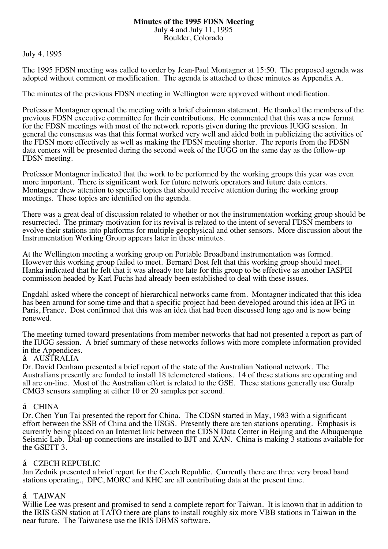#### **Minutes of the 1995 FDSN Meeting** July 4 and July 11, 1995 Boulder, Colorado

July 4, 1995

The 1995 FDSN meeting was called to order by Jean-Paul Montagner at 15:50. The proposed agenda was adopted without comment or modification. The agenda is attached to these minutes as Appendix A.

The minutes of the previous FDSN meeting in Wellington were approved without modification.

Professor Montagner opened the meeting with a brief chairman statement. He thanked the members of the previous FDSN executive committee for their contributions. He commented that this was a new format for the FDSN meetings with most of the network reports given during the previous IUGG session. In general the consensus was that this format worked very well and aided both in publicizing the activities of the FDSN more effectively as well as making the FDSN meeting shorter. The reports from the FDSN data centers will be presented during the second week of the IUGG on the same day as the follow-up FDSN meeting.

Professor Montagner indicated that the work to be performed by the working groups this year was even more important. There is significant work for future network operators and future data centers. Montagner drew attention to specific topics that should receive attention during the working group meetings. These topics are identified on the agenda.

There was a great deal of discussion related to whether or not the instrumentation working group should be resurrected. The primary motivation for its revival is related to the intent of several FDSN members to evolve their stations into platforms for multiple geophysical and other sensors. More discussion about the Instrumentation Working Group appears later in these minutes.

At the Wellington meeting a working group on Portable Broadband instrumentation was formed. However this working group failed to meet. Bernard Dost felt that this working group should meet. Hanka indicated that he felt that it was already too late for this group to be effective as another IASPEI commission headed by Karl Fuchs had already been established to deal with these issues.

Engdahl asked where the concept of hierarchical networks came from. Montagner indicated that this idea has been around for some time and that a specific project had been developed around this idea at IPG in Paris, France. Dost confirmed that this was an idea that had been discussed long ago and is now being renewed.

The meeting turned toward presentations from member networks that had not presented a report as part of the IUGG session. A brief summary of these networks follows with more complete information provided in the Appendices.

#### á AUSTRALIA

Dr. David Denham presented a brief report of the state of the Australian National network. The Australians presently are funded to install 18 telemetered stations. 14 of these stations are operating and all are on-line. Most of the Australian effort is related to the GSE. These stations generally use Guralp CMG3 sensors sampling at either 10 or 20 samples per second.

#### á CHINA

Dr. Chen Yun Tai presented the report for China. The CDSN started in May, 1983 with a significant effort between the SSB of China and the USGS. Presently there are ten stations operating. Emphasis is currently being placed on an Internet link between the CDSN Data Center in Beijing and the Albuquerque Seismic Lab. Dial-up connections are installed to BJT and XAN. China is making 3 stations available for the GSETT 3.

## á CZECH REPUBLIC

Jan Zednik presented a brief report for the Czech Republic. Currently there are three very broad band stations operating., DPC, MORC and KHC are all contributing data at the present time.

## á TAIWAN

Willie Lee was present and promised to send a complete report for Taiwan. It is known that in addition to the IRIS GSN station at TATO there are plans to install roughly six more VBB stations in Taiwan in the near future. The Taiwanese use the IRIS DBMS software.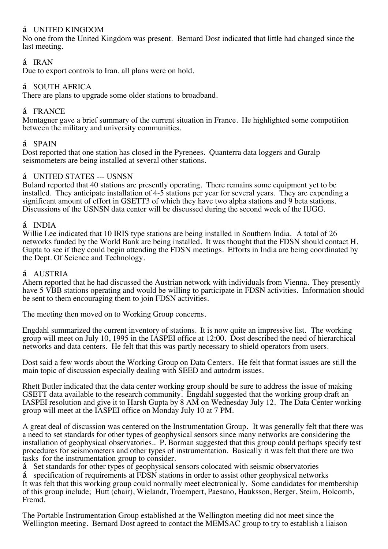## á UNITED KINGDOM

No one from the United Kingdom was present. Bernard Dost indicated that little had changed since the last meeting.

# á IRAN

Due to export controls to Iran, all plans were on hold.

### á SOUTH AFRICA

There are plans to upgrade some older stations to broadband.

#### á FRANCE

Montagner gave a brief summary of the current situation in France. He highlighted some competition between the military and university communities.

#### á SPAIN

Dost reported that one station has closed in the Pyrenees. Quanterra data loggers and Guralp seismometers are being installed at several other stations.

#### á UNITED STATES --- USNSN

Buland reported that 40 stations are presently operating. There remains some equipment yet to be installed. They anticipate installation of 4-5 stations per year for several years. They are expending a significant amount of effort in GSETT3 of which they have two alpha stations and 9 beta stations. Discussions of the USNSN data center will be discussed during the second week of the IUGG.

#### á INDIA

Willie Lee indicated that 10 IRIS type stations are being installed in Southern India. A total of 26 networks funded by the World Bank are being installed. It was thought that the FDSN should contact H. Gupta to see if they could begin attending the FDSN meetings. Efforts in India are being coordinated by the Dept. Of Science and Technology.

#### á AUSTRIA

Ahern reported that he had discussed the Austrian network with individuals from Vienna. They presently have 5 VBB stations operating and would be willing to participate in FDSN activities. Information should be sent to them encouraging them to join FDSN activities.

The meeting then moved on to Working Group concerns.

Engdahl summarized the current inventory of stations. It is now quite an impressive list. The working group will meet on July 10, 1995 in the IASPEI office at 12:00. Dost described the need of hierarchical networks and data centers. He felt that this was partly necessary to shield operators from users.

Dost said a few words about the Working Group on Data Centers. He felt that format issues are still the main topic of discussion especially dealing with SEED and autodrm issues.

Rhett Butler indicated that the data center working group should be sure to address the issue of making GSETT data available to the research community. Engdahl suggested that the working group draft an IASPEI resolution and give it to Harsh Gupta by 8 AM on Wednesday July 12. The Data Center working group will meet at the IASPEI office on Monday July 10 at 7 PM.

A great deal of discussion was centered on the Instrumentation Group. It was generally felt that there was a need to set standards for other types of geophysical sensors since many networks are considering the installation of geophysical observatories.. P. Borman suggested that this group could perhaps specify test procedures for seismometers and other types of instrumentation. Basically it was felt that there are two tasks for the instrumentation group to consider.

á Set standards for other types of geophysical sensors colocated with seismic observatories

á specification of requirements at FDSN stations in order to assist other geophysical networks It was felt that this working group could normally meet electronically. Some candidates for membership of this group include; Hutt (chair), Wielandt, Troempert, Paesano, Hauksson, Berger, Steim, Holcomb, Fremd.

The Portable Instrumentation Group established at the Wellington meeting did not meet since the Wellington meeting. Bernard Dost agreed to contact the MEMSAC group to try to establish a liaison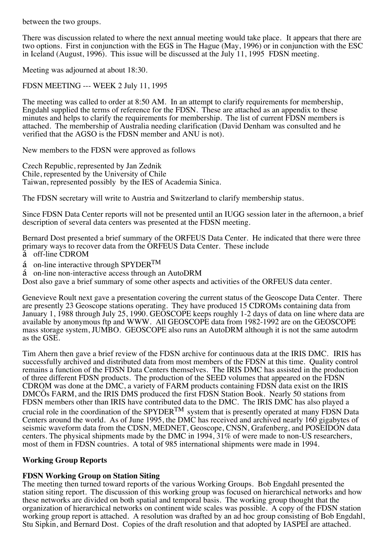between the two groups.

There was discussion related to where the next annual meeting would take place. It appears that there are two options. First in conjunction with the EGS in The Hague (May, 1996) or in conjunction with the ESC in Iceland (August, 1996). This issue will be discussed at the July 11, 1995 FDSN meeting.

Meeting was adjourned at about 18:30.

FDSN MEETING --- WEEK 2 July 11, 1995

The meeting was called to order at 8:50 AM. In an attempt to clarify requirements for membership, Engdahl supplied the terms of reference for the FDSN. These are attached as an appendix to these minutes and helps to clarify the requirements for membership. The list of current FDSN members is attached. The membership of Australia needing clarification (David Denham was consulted and he verified that the AGSO is the FDSN member and ANU is not).

New members to the FDSN were approved as follows

Czech Republic, represented by Jan Zednik Chile, represented by the University of Chile Taiwan, represented possibly by the IES of Academia Sinica.

The FDSN secretary will write to Austria and Switzerland to clarify membership status.

Since FDSN Data Center reports will not be presented until an IUGG session later in the afternoon, a brief description of several data centers was presented at the FDSN meeting.

Bernard Dost presented a brief summary of the ORFEUS Data Center. He indicated that there were three primary ways to recover data from the ORFEUS Data Center. These include

- á off-line CDROM
- $\acute{a}$  on-line interactive through SPYDER<sup>TM</sup>
- á on-line non-interactive access through an AutoDRM

Dost also gave a brief summary of some other aspects and activities of the ORFEUS data center.

Genevieve Roult next gave a presentation covering the current status of the Geoscope Data Center. There are presently 23 Geoscope stations operating. They have produced 15 CDROMs containing data from January 1, 1988 through July 25, 1990. GEOSCOPE keeps roughly 1-2 days of data on line where data are available by anonymous ftp and WWW. All GEOSCOPE data from 1982-1992 are on the GEOSCOPE mass storage system, JUMBO. GEOSCOPE also runs an AutoDRM although it is not the same autodrm as the GSE.

Tim Ahern then gave a brief review of the FDSN archive for continuous data at the IRIS DMC. IRIS has successfully archived and distributed data from most members of the FDSN at this time. Quality control remains a function of the FDSN Data Centers themselves. The IRIS DMC has assisted in the production of three different FDSN products. The production of the SEED volumes that appeared on the FDSN CDROM was done at the DMC, a variety of FARM products containing FDSN data exist on the IRIS DMCÕs FARM, and the IRIS DMS produced the first FDSN Station Book. Nearly 50 stations from FDSN members other than IRIS have contributed data to the DMC. The IRIS DMC has also played a crucial role in the coordination of the SPYDER<sup>TM</sup> system that is presently operated at many FDSN Data Centers around the world. As of June 1995, the DMC has received and archived nearly 160 gigabytes of seismic waveform data from the CDSN, MEDNET, Geoscope, CNSN, Grafenberg, and POSEIDON data centers. The physical shipments made by the DMC in 1994, 31% of were made to non-US researchers, most of them in FDSN countries. A total of 985 international shipments were made in 1994.

## **Working Group Reports**

## **FDSN Working Group on Station Siting**

The meeting then turned toward reports of the various Working Groups. Bob Engdahl presented the station siting report. The discussion of this working group was focused on hierarchical networks and how these networks are divided on both spatial and temporal basis. The working group thought that the organization of hierarchical networks on continent wide scales was possible. A copy of the FDSN station working group report is attached. A resolution was drafted by an ad hoc group consisting of Bob Engdahl, Stu Sipkin, and Bernard Dost. Copies of the draft resolution and that adopted by IASPEI are attached.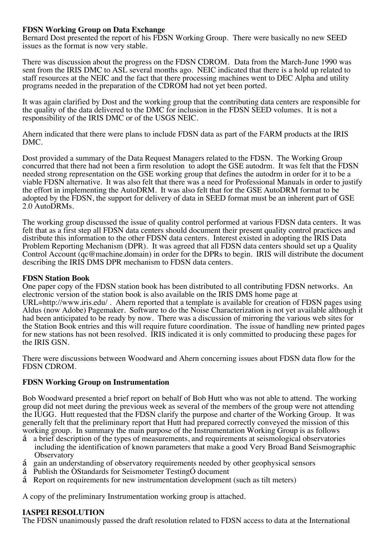### **FDSN Working Group on Data Exchange**

Bernard Dost presented the report of his FDSN Working Group. There were basically no new SEED issues as the format is now very stable.

There was discussion about the progress on the FDSN CDROM. Data from the March-June 1990 was sent from the IRIS DMC to ASL several months ago. NEIC indicated that there is a hold up related to staff resources at the NEIC and the fact that there processing machines went to DEC Alpha and utility programs needed in the preparation of the CDROM had not yet been ported.

It was again clarified by Dost and the working group that the contributing data centers are responsible for the quality of the data delivered to the DMC for inclusion in the FDSN SEED volumes. It is not a responsibility of the IRIS DMC or of the USGS NEIC.

Ahern indicated that there were plans to include FDSN data as part of the FARM products at the IRIS DMC.

Dost provided a summary of the Data Request Managers related to the FDSN. The Working Group concurred that there had not been a firm resolution to adopt the GSE autodrm. It was felt that the FDSN needed strong representation on the GSE working group that defines the autodrm in order for it to be a viable FDSN alternative. It was also felt that there was a need for Professional Manuals in order to justify the effort in implementing the AutoDRM. It was also felt that for the GSE AutoDRM format to be adopted by the FDSN, the support for delivery of data in SEED format must be an inherent part of GSE 2.0 AutoDRMs.

The working group discussed the issue of quality control performed at various FDSN data centers. It was felt that as a first step all FDSN data centers should document their present quality control practices and distribute this information to the other FDSN data centers. Interest existed in adopting the IRIS Data Problem Reporting Mechanism (DPR). It was agreed that all FDSN data centers should set up a Quality Control Account (qc@machine.domain) in order for the DPRs to begin. IRIS will distribute the document describing the IRIS DMS DPR mechanism to FDSN data centers.

#### **FDSN Station Book**

One paper copy of the FDSN station book has been distributed to all contributing FDSN networks. An electronic version of the station book is also available on the IRIS DMS home page at URL=http://www.iris.edu/ . Ahern reported that a template is available for creation of FDSN pages using Aldus (now Adobe) Pagemaker. Software to do the Noise Characterization is not yet available although it had been anticipated to be ready by now. There was a discussion of mirroring the various web sites for the Station Book entries and this will require future coordination. The issue of handling new printed pages for new stations has not been resolved. IRIS indicated it is only committed to producing these pages for the IRIS GSN.

There were discussions between Woodward and Ahern concerning issues about FDSN data flow for the FDSN CDROM.

## **FDSN Working Group on Instrumentation**

Bob Woodward presented a brief report on behalf of Bob Hutt who was not able to attend. The working group did not meet during the previous week as several of the members of the group were not attending the IUGG. Hutt requested that the FDSN clarify the purpose and charter of the Working Group. It was generally felt that the preliminary report that Hutt had prepared correctly conveyed the mission of this working group. In summary the main purpose of the Instrumentation Working Group is as follows

- á a brief description of the types of measurements, and requirements at seismological observatories including the identification of known parameters that make a good Very Broad Band Seismographic **Observatory**
- á gain an understanding of observatory requirements needed by other geophysical sensors
- á Publish the ÒStandards for Seismometer TestingÓ document
- á Report on requirements for new instrumentation development (such as tilt meters)

A copy of the preliminary Instrumentation working group is attached.

#### **IASPEI RESOLUTION**

The FDSN unanimously passed the draft resolution related to FDSN access to data at the International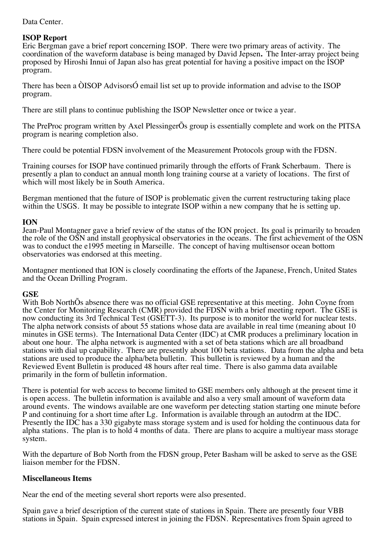### Data Center.

## **ISOP Report**

Eric Bergman gave a brief report concerning ISOP. There were two primary areas of activity. The coordination of the waveform database is being managed by David Jepsen**.** The Inter-array project being proposed by Hiroshi Innui of Japan also has great potential for having a positive impact on the ISOP program.

There has been a ÒISOP AdvisorsÓ email list set up to provide information and advise to the ISOP program.

There are still plans to continue publishing the ISOP Newsletter once or twice a year.

The PreProc program written by Axel PlessingerÕs group is essentially complete and work on the PITSA program is nearing completion also.

There could be potential FDSN involvement of the Measurement Protocols group with the FDSN.

Training courses for ISOP have continued primarily through the efforts of Frank Scherbaum. There is presently a plan to conduct an annual month long training course at a variety of locations. The first of which will most likely be in South America.

Bergman mentioned that the future of ISOP is problematic given the current restructuring taking place within the USGS. It may be possible to integrate ISOP within a new company that he is setting up.

## **ION**

Jean-Paul Montagner gave a brief review of the status of the ION project. Its goal is primarily to broaden the role of the OSN and install geophysical observatories in the oceans. The first achievement of the OSN was to conduct the e1995 meeting in Marseille. The concept of having multisensor ocean bottom observatories was endorsed at this meeting.

Montagner mentioned that ION is closely coordinating the efforts of the Japanese, French, United States and the Ocean Drilling Program.

## **GSE**

With Bob NorthÕs absence there was no official GSE representative at this meeting. John Coyne from the Center for Monitoring Research (CMR) provided the FDSN with a brief meeting report. The GSE is now conducting its 3rd Technical Test (GSETT-3). Its purpose is to monitor the world for nuclear tests. The alpha network consists of about 55 stations whose data are available in real time (meaning about 10 minutes in GSE terms). The International Data Center (IDC) at CMR produces a preliminary location in about one hour. The alpha network is augmented with a set of beta stations which are all broadband stations with dial up capability. There are presently about 100 beta stations. Data from the alpha and beta stations are used to produce the alpha/beta bulletin. This bulletin is reviewed by a human and the Reviewed Event Bulletin is produced 48 hours after real time. There is also gamma data available primarily in the form of bulletin information.

There is potential for web access to become limited to GSE members only although at the present time it is open access. The bulletin information is available and also a very small amount of waveform data around events. The windows available are one waveform per detecting station starting one minute before P and continuing for a short time after Lg. Information is available through an autodrm at the IDC. Presently the IDC has a 330 gigabyte mass storage system and is used for holding the continuous data for alpha stations. The plan is to hold 4 months of data. There are plans to acquire a multiyear mass storage system.

With the departure of Bob North from the FDSN group, Peter Basham will be asked to serve as the GSE liaison member for the FDSN.

## **Miscellaneous Items**

Near the end of the meeting several short reports were also presented.

Spain gave a brief description of the current state of stations in Spain. There are presently four VBB stations in Spain. Spain expressed interest in joining the FDSN. Representatives from Spain agreed to